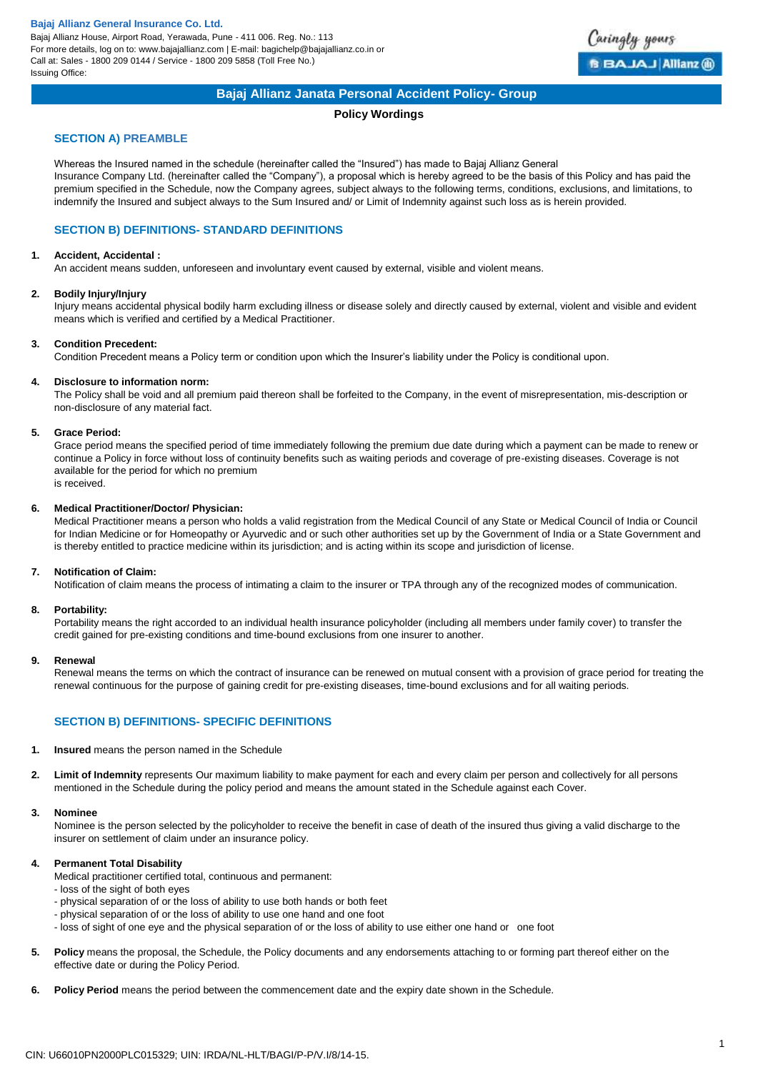Bajaj Allianz House, Airport Road, Yerawada, Pune - 411 006. Reg. No.: 113 For more details, log on to: www.bajajallianz.com | E-mail: bagichelp@bajajallianz.co.in or Call at: Sales - 1800 209 0144 / Service - 1800 209 5858 (Toll Free No.) Issuing Office:



# **Bajaj Allianz Janata Personal Accident Policy- Group**

# **Policy Wordings**

## **SECTION A) PREAMBLE**

Whereas the Insured named in the schedule (hereinafter called the "Insured") has made to Bajaj Allianz General Insurance Company Ltd. (hereinafter called the "Company"), a proposal which is hereby agreed to be the basis of this Policy and has paid the premium specified in the Schedule, now the Company agrees, subject always to the following terms, conditions, exclusions, and limitations, to indemnify the Insured and subject always to the Sum Insured and/ or Limit of Indemnity against such loss as is herein provided.

# **SECTION B) DEFINITIONS- STANDARD DEFINITIONS**

#### **1. Accident, Accidental :**

An accident means sudden, unforeseen and involuntary event caused by external, visible and violent means.

#### **2. Bodily Injury/Injury**

Injury means accidental physical bodily harm excluding illness or disease solely and directly caused by external, violent and visible and evident means which is verified and certified by a Medical Practitioner.

## **3. Condition Precedent:**

Condition Precedent means a Policy term or condition upon which the Insurer's liability under the Policy is conditional upon.

### **4. Disclosure to information norm:**

The Policy shall be void and all premium paid thereon shall be forfeited to the Company, in the event of misrepresentation, mis-description or non-disclosure of any material fact.

#### **5. Grace Period:**

Grace period means the specified period of time immediately following the premium due date during which a payment can be made to renew or continue a Policy in force without loss of continuity benefits such as waiting periods and coverage of pre-existing diseases. Coverage is not available for the period for which no premium is received.

#### **6. Medical Practitioner/Doctor/ Physician:**

Medical Practitioner means a person who holds a valid registration from the Medical Council of any State or Medical Council of India or Council for Indian Medicine or for Homeopathy or Ayurvedic and or such other authorities set up by the Government of India or a State Government and is thereby entitled to practice medicine within its jurisdiction; and is acting within its scope and jurisdiction of license.

#### **7. Notification of Claim:**

Notification of claim means the process of intimating a claim to the insurer or TPA through any of the recognized modes of communication.

#### **8. Portability:**

Portability means the right accorded to an individual health insurance policyholder (including all members under family cover) to transfer the credit gained for pre-existing conditions and time-bound exclusions from one insurer to another.

#### **9. Renewal**

Renewal means the terms on which the contract of insurance can be renewed on mutual consent with a provision of grace period for treating the renewal continuous for the purpose of gaining credit for pre-existing diseases, time-bound exclusions and for all waiting periods.

# **SECTION B) DEFINITIONS- SPECIFIC DEFINITIONS**

- **1. Insured** means the person named in the Schedule
- **2. Limit of Indemnity** represents Our maximum liability to make payment for each and every claim per person and collectively for all persons mentioned in the Schedule during the policy period and means the amount stated in the Schedule against each Cover.

#### **3. Nominee**

Nominee is the person selected by the policyholder to receive the benefit in case of death of the insured thus giving a valid discharge to the insurer on settlement of claim under an insurance policy.

## **4. Permanent Total Disability**

Medical practitioner certified total, continuous and permanent:

- loss of the sight of both eyes
- physical separation of or the loss of ability to use both hands or both feet
- physical separation of or the loss of ability to use one hand and one foot
- loss of sight of one eye and the physical separation of or the loss of ability to use either one hand or one foot
- **5. Policy** means the proposal, the Schedule, the Policy documents and any endorsements attaching to or forming part thereof either on the effective date or during the Policy Period.
- **6. Policy Period** means the period between the commencement date and the expiry date shown in the Schedule.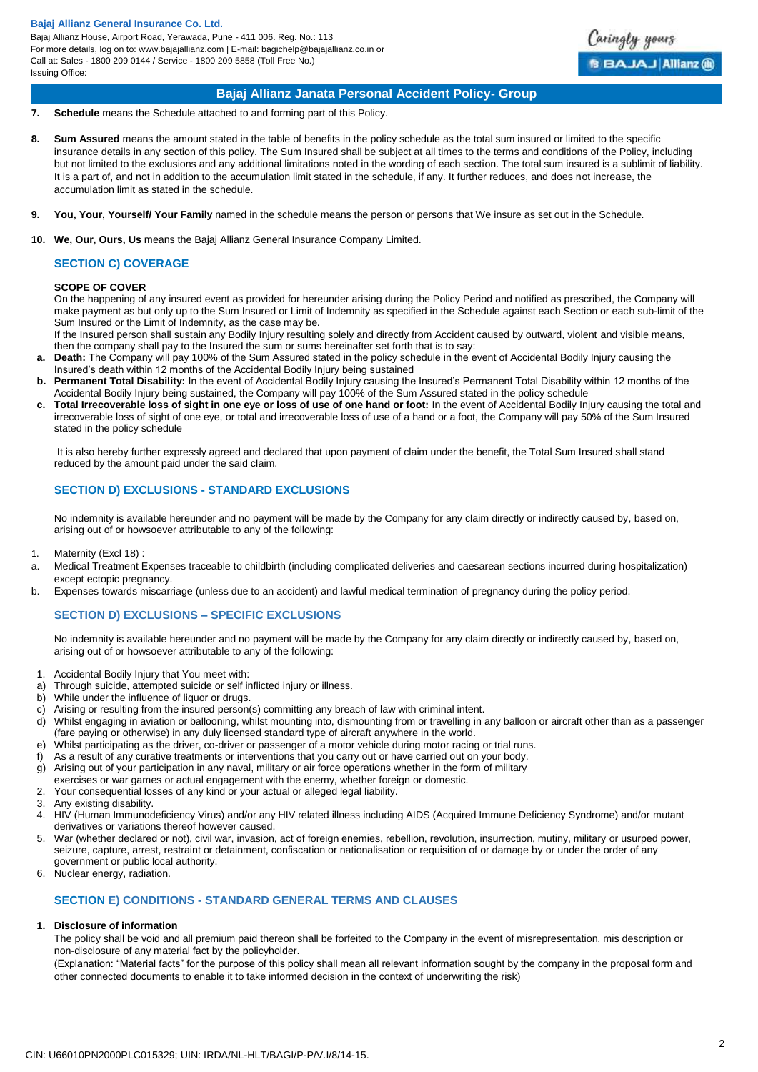Bajaj Allianz House, Airport Road, Yerawada, Pune - 411 006. Reg. No.: 113 For more details, log on to: www.bajajallianz.com | E-mail: bagichelp@bajajallianz.co.in or Call at: Sales - 1800 209 0144 / Service - 1800 209 5858 (Toll Free No.) Issuing Office:



# **Bajaj Allianz Janata Personal Accident Policy- Group**

- **7. Schedule** means the Schedule attached to and forming part of this Policy.
- **8. Sum Assured** means the amount stated in the table of benefits in the policy schedule as the total sum insured or limited to the specific insurance details in any section of this policy. The Sum Insured shall be subject at all times to the terms and conditions of the Policy, including but not limited to the exclusions and any additional limitations noted in the wording of each section. The total sum insured is a sublimit of liability. It is a part of, and not in addition to the accumulation limit stated in the schedule, if any. It further reduces, and does not increase, the accumulation limit as stated in the schedule.
- **9. You, Your, Yourself/ Your Family** named in the schedule means the person or persons that We insure as set out in the Schedule.
- **10. We, Our, Ours, Us** means the Bajaj Allianz General Insurance Company Limited.

# **SECTION C) COVERAGE**

#### **SCOPE OF COVER**

On the happening of any insured event as provided for hereunder arising during the Policy Period and notified as prescribed, the Company will make payment as but only up to the Sum Insured or Limit of Indemnity as specified in the Schedule against each Section or each sub-limit of the Sum Insured or the Limit of Indemnity, as the case may be.

If the Insured person shall sustain any Bodily Injury resulting solely and directly from Accident caused by outward, violent and visible means, then the company shall pay to the Insured the sum or sums hereinafter set forth that is to say:

- **a. Death:** The Company will pay 100% of the Sum Assured stated in the policy schedule in the event of Accidental Bodily Injury causing the Insured's death within 12 months of the Accidental Bodily Injury being sustained
- **b. Permanent Total Disability:** In the event of Accidental Bodily Injury causing the Insured's Permanent Total Disability within 12 months of the Accidental Bodily Injury being sustained, the Company will pay 100% of the Sum Assured stated in the policy schedule
- **c. Total Irrecoverable loss of sight in one eye or loss of use of one hand or foot:** In the event of Accidental Bodily Injury causing the total and irrecoverable loss of sight of one eye, or total and irrecoverable loss of use of a hand or a foot, the Company will pay 50% of the Sum Insured stated in the policy schedule

It is also hereby further expressly agreed and declared that upon payment of claim under the benefit, the Total Sum Insured shall stand reduced by the amount paid under the said claim.

# **SECTION D) EXCLUSIONS - STANDARD EXCLUSIONS**

No indemnity is available hereunder and no payment will be made by the Company for any claim directly or indirectly caused by, based on, arising out of or howsoever attributable to any of the following:

- 1. Maternity (Excl 18) :
- a. Medical Treatment Expenses traceable to childbirth (including complicated deliveries and caesarean sections incurred during hospitalization) except ectopic pregnancy.
- b. Expenses towards miscarriage (unless due to an accident) and lawful medical termination of pregnancy during the policy period.

# **SECTION D) EXCLUSIONS – SPECIFIC EXCLUSIONS**

No indemnity is available hereunder and no payment will be made by the Company for any claim directly or indirectly caused by, based on, arising out of or howsoever attributable to any of the following:

- 1. Accidental Bodily Injury that You meet with:
- a) Through suicide, attempted suicide or self inflicted injury or illness.
- b) While under the influence of liquor or drugs.
- c) Arising or resulting from the insured person(s) committing any breach of law with criminal intent.<br>d) Whilst engaging in aviation or ballooning whilst mounting into dismounting from or travelling in
- Whilst engaging in aviation or ballooning, whilst mounting into, dismounting from or travelling in any balloon or aircraft other than as a passenger (fare paying or otherwise) in any duly licensed standard type of aircraft anywhere in the world.
- e) Whilst participating as the driver, co-driver or passenger of a motor vehicle during motor racing or trial runs.
- f) As a result of any curative treatments or interventions that you carry out or have carried out on your body.
- g) Arising out of your participation in any naval, military or air force operations whether in the form of military
- exercises or war games or actual engagement with the enemy, whether foreign or domestic.
- 2. Your consequential losses of any kind or your actual or alleged legal liability.
- 3. Any existing disability.
- 4. HIV (Human Immunodeficiency Virus) and/or any HIV related illness including AIDS (Acquired Immune Deficiency Syndrome) and/or mutant derivatives or variations thereof however caused.
- 5. War (whether declared or not), civil war, invasion, act of foreign enemies, rebellion, revolution, insurrection, mutiny, military or usurped power, seizure, capture, arrest, restraint or detainment, confiscation or nationalisation or requisition of or damage by or under the order of any government or public local authority.
- 6. Nuclear energy, radiation.

# **SECTION E) CONDITIONS - STANDARD GENERAL TERMS AND CLAUSES**

# **1. Disclosure of information**

The policy shall be void and all premium paid thereon shall be forfeited to the Company in the event of misrepresentation, mis description or non-disclosure of any material fact by the policyholder.

(Explanation: "Material facts" for the purpose of this policy shall mean all relevant information sought by the company in the proposal form and other connected documents to enable it to take informed decision in the context of underwriting the risk)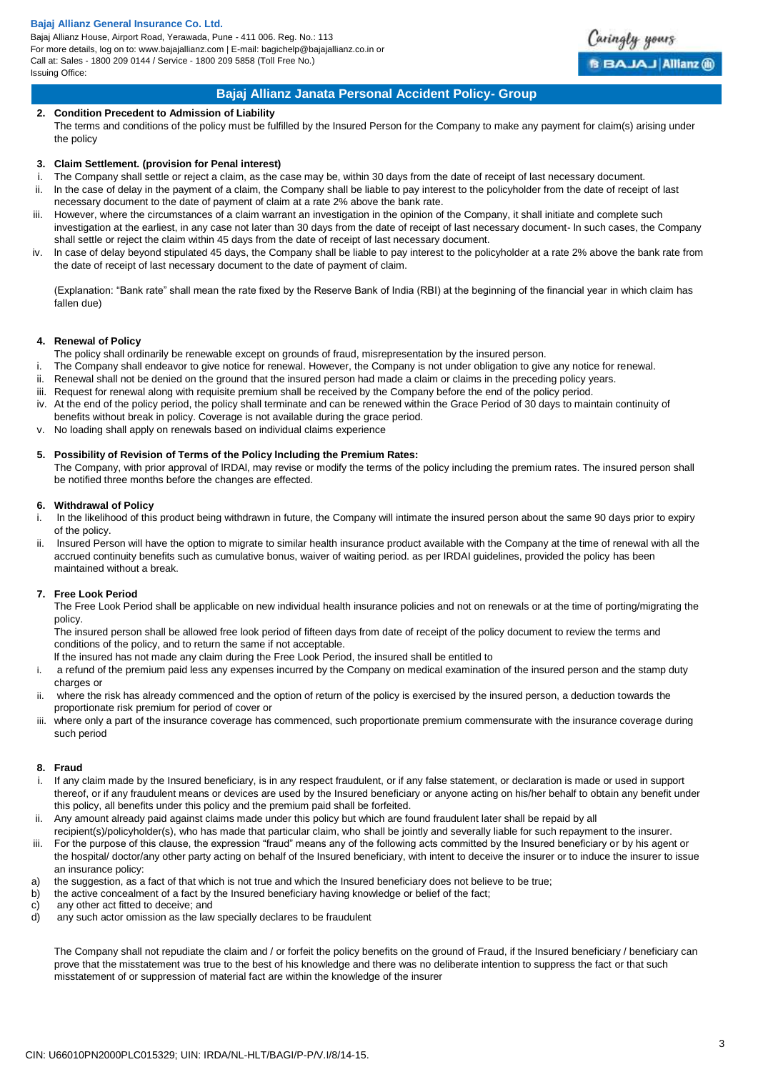Bajaj Allianz House, Airport Road, Yerawada, Pune - 411 006. Reg. No.: 113 For more details, log on to: www.bajajallianz.com | E-mail: bagichelp@bajajallianz.co.in or Call at: Sales - 1800 209 0144 / Service - 1800 209 5858 (Toll Free No.) Issuing Office:



Caringly yours

**BBAJAJ Allianz @** 

#### **2. Condition Precedent to Admission of Liability**

The terms and conditions of the policy must be fulfilled by the Insured Person for the Company to make any payment for claim(s) arising under the policy

#### **3. Claim Settlement. (provision for Penal interest)**

- i. The Company shall settle or reject a claim, as the case may be, within 30 days from the date of receipt of last necessary document.
- ii. ln the case of delay in the payment of a claim, the Company shall be liable to pay interest to the policyholder from the date of receipt of last necessary document to the date of payment of claim at a rate 2% above the bank rate.
- iii. However, where the circumstances of a claim warrant an investigation in the opinion of the Company, it shall initiate and complete such investigation at the earliest, in any case not later than 30 days from the date of receipt of last necessary document- ln such cases, the Company shall settle or reject the claim within 45 days from the date of receipt of last necessary document.
- iv. ln case of delay beyond stipulated 45 days, the Company shall be liable to pay interest to the policyholder at a rate 2% above the bank rate from the date of receipt of last necessary document to the date of payment of claim.

(Explanation: "Bank rate" shall mean the rate fixed by the Reserve Bank of India (RBI) at the beginning of the financial year in which claim has fallen due)

#### **4. Renewal of Policy**

The policy shall ordinarily be renewable except on grounds of fraud, misrepresentation by the insured person.

- i. The Company shall endeavor to give notice for renewal. However, the Company is not under obligation to give any notice for renewal.
- ii. Renewal shall not be denied on the ground that the insured person had made a claim or claims in the preceding policy years.
- iii. Request for renewal along with requisite premium shall be received by the Company before the end of the policy period.
- iv. At the end of the policy period, the policy shall terminate and can be renewed within the Grace Period of 30 days to maintain continuity of benefits without break in policy. Coverage is not available during the grace period.
- v. No loading shall apply on renewals based on individual claims experience

# **5. Possibility of Revision of Terms of the Policy lncluding the Premium Rates:**

The Company, with prior approval of lRDAl, may revise or modify the terms of the policy including the premium rates. The insured person shall be notified three months before the changes are effected.

### **6. Withdrawal of Policy**

- i. ln the likelihood of this product being withdrawn in future, the Company will intimate the insured person about the same 90 days prior to expiry of the policy.
- ii. lnsured Person will have the option to migrate to similar health insurance product available with the Company at the time of renewal with all the accrued continuity benefits such as cumulative bonus, waiver of waiting period. as per IRDAI guidelines, provided the policy has been maintained without a break.

# **7. Free Look Period**

The Free Look Period shall be applicable on new individual health insurance policies and not on renewals or at the time of porting/migrating the policy.

The insured person shall be allowed free look period of fifteen days from date of receipt of the policy document to review the terms and conditions of the policy, and to return the same if not acceptable.

lf the insured has not made any claim during the Free Look Period, the insured shall be entitled to

- i. a refund of the premium paid less any expenses incurred by the Company on medical examination of the insured person and the stamp duty charges or
- ii. where the risk has already commenced and the option of return of the policy is exercised by the insured person, a deduction towards the proportionate risk premium for period of cover or
- iii. where only a part of the insurance coverage has commenced, such proportionate premium commensurate with the insurance coverage during such period

#### **8. Fraud**

- i. If any claim made by the Insured beneficiary, is in any respect fraudulent, or if any false statement, or declaration is made or used in support thereof, or if any fraudulent means or devices are used by the Insured beneficiary or anyone acting on his/her behalf to obtain any benefit under this policy, all benefits under this policy and the premium paid shall be forfeited.
- ii. Any amount already paid against claims made under this policy but which are found fraudulent later shall be repaid by all
- recipient(s)/policyholder(s), who has made that particular claim, who shall be jointly and severally liable for such repayment to the insurer. iii. For the purpose of this clause, the expression "fraud" means any of the following acts committed by the Insured beneficiary or by his agent or
- the hospital/ doctor/any other party acting on behalf of the Insured beneficiary, with intent to deceive the insurer or to induce the insurer to issue an insurance policy:
- a) the suggestion, as a fact of that which is not true and which the Insured beneficiary does not believe to be true;
- b) the active concealment of a fact by the Insured beneficiary having knowledge or belief of the fact;
- c) any other act fitted to deceive; and
- d) any such actor omission as the law specially declares to be fraudulent

The Company shall not repudiate the claim and / or forfeit the policy benefits on the ground of Fraud, if the Insured beneficiary / beneficiary can prove that the misstatement was true to the best of his knowledge and there was no deliberate intention to suppress the fact or that such misstatement of or suppression of material fact are within the knowledge of the insurer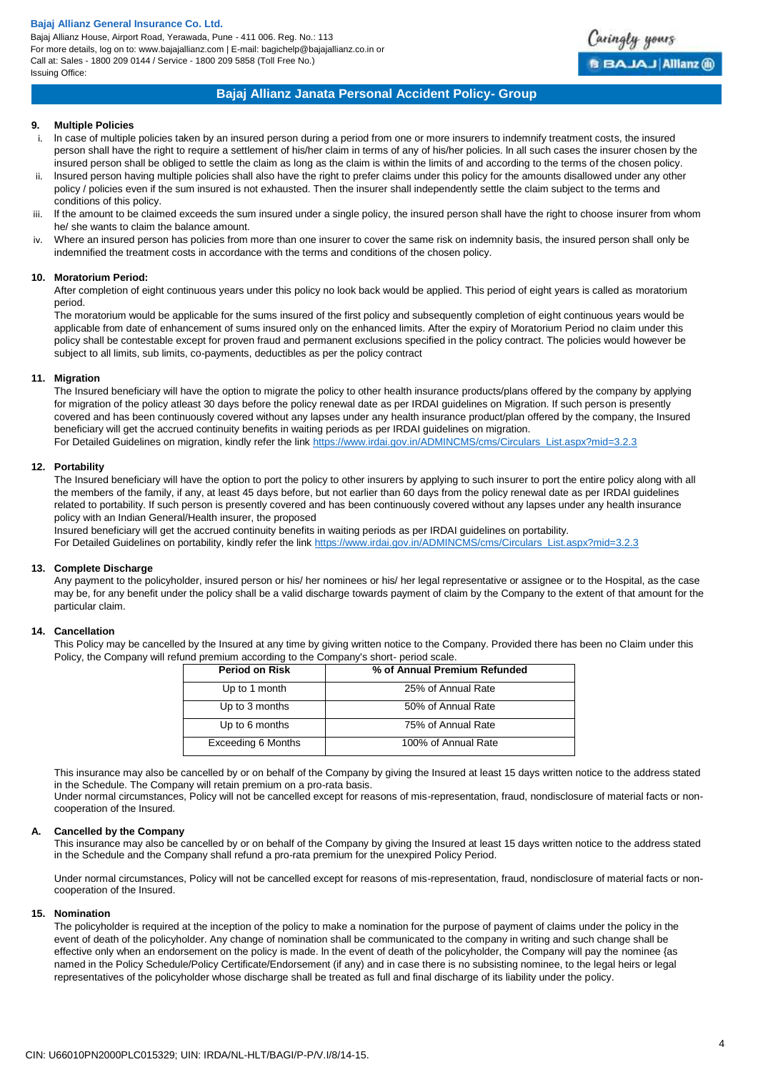Bajaj Allianz House, Airport Road, Yerawada, Pune - 411 006. Reg. No.: 113 For more details, log on to: www.bajajallianz.com | E-mail: bagichelp@bajajallianz.co.in or Call at: Sales - 1800 209 0144 / Service - 1800 209 5858 (Toll Free No.) Issuing Office:



# **Bajaj Allianz Janata Personal Accident Policy- Group**

## **9. Multiple Policies**

- i. ln case of multiple policies taken by an insured person during a period from one or more insurers to indemnify treatment costs, the insured person shall have the right to require a settlement of his/her claim in terms of any of his/her policies. ln all such cases the insurer chosen by the insured person shall be obliged to settle the claim as long as the claim is within the limits of and according to the terms of the chosen policy.
- ii. lnsured person having multiple policies shall also have the right to prefer claims under this policy for the amounts disallowed under any other policy / policies even if the sum insured is not exhausted. Then the insurer shall independently settle the claim subject to the terms and conditions of this policy.
- iii. lf the amount to be claimed exceeds the sum insured under a single policy, the insured person shall have the right to choose insurer from whom he/ she wants to claim the balance amount.
- iv. Where an insured person has policies from more than one insurer to cover the same risk on indemnity basis, the insured person shall only be indemnified the treatment costs in accordance with the terms and conditions of the chosen policy.

#### **10. Moratorium Period:**

After completion of eight continuous years under this policy no look back would be applied. This period of eight years is called as moratorium period.

The moratorium would be applicable for the sums insured of the first policy and subsequently completion of eight continuous years would be applicable from date of enhancement of sums insured only on the enhanced limits. After the expiry of Moratorium Period no claim under this policy shall be contestable except for proven fraud and permanent exclusions specified in the policy contract. The policies would however be subject to all limits, sub limits, co-payments, deductibles as per the policy contract

#### **11. Migration**

The Insured beneficiary will have the option to migrate the policy to other health insurance products/plans offered by the company by applying for migration of the policy atleast 30 days before the policy renewal date as per IRDAI guidelines on Migration. If such person is presently covered and has been continuously covered without any lapses under any health insurance product/plan offered by the company, the Insured beneficiary will get the accrued continuity benefits in waiting periods as per IRDAI guidelines on migration. For Detailed Guidelines on migration, kindly refer the link [https://www.irdai.gov.in/ADMINCMS/cms/Circulars\\_List.aspx?mid=3.2.3](https://www.irdai.gov.in/ADMINCMS/cms/Circulars_List.aspx?mid=3.2.3)

#### **12. Portability**

The Insured beneficiary will have the option to port the policy to other insurers by applying to such insurer to port the entire policy along with all the members of the family, if any, at least 45 days before, but not earlier than 60 days from the policy renewal date as per IRDAI guidelines related to portability. If such person is presently covered and has been continuously covered without any lapses under any health insurance policy with an Indian General/Health insurer, the proposed

Insured beneficiary will get the accrued continuity benefits in waiting periods as per IRDAI guidelines on portability.

For Detailed Guidelines on portability, kindly refer the link [https://www.irdai.gov.in/ADMINCMS/cms/Circulars\\_List.aspx?mid=3.2.3](https://www.irdai.gov.in/ADMINCMS/cms/Circulars_List.aspx?mid=3.2.3)

#### **13. Complete Discharge**

Any payment to the policyholder, insured person or his/ her nominees or his/ her legal representative or assignee or to the Hospital, as the case may be, for any benefit under the policy shall be a valid discharge towards payment of claim by the Company to the extent of that amount for the particular claim.

#### **14. Cancellation**

This Policy may be cancelled by the Insured at any time by giving written notice to the Company. Provided there has been no Claim under this Policy, the Company will refund premium according to the Company's short- period scale.

| <b>Period on Risk</b> | % of Annual Premium Refunded |
|-----------------------|------------------------------|
| Up to 1 month         | 25% of Annual Rate           |
| Up to 3 months        | 50% of Annual Rate           |
| Up to 6 months        | 75% of Annual Rate           |
| Exceeding 6 Months    | 100% of Annual Rate          |

This insurance may also be cancelled by or on behalf of the Company by giving the Insured at least 15 days written notice to the address stated in the Schedule. The Company will retain premium on a pro-rata basis.

Under normal circumstances, Policy will not be cancelled except for reasons of mis-representation, fraud, nondisclosure of material facts or noncooperation of the Insured.

## **A. Cancelled by the Company**

This insurance may also be cancelled by or on behalf of the Company by giving the Insured at least 15 days written notice to the address stated in the Schedule and the Company shall refund a pro-rata premium for the unexpired Policy Period.

Under normal circumstances, Policy will not be cancelled except for reasons of mis-representation, fraud, nondisclosure of material facts or noncooperation of the Insured.

#### **15. Nomination**

The policyholder is required at the inception of the policy to make a nomination for the purpose of payment of claims under the policy in the event of death of the policyholder. Any change of nomination shall be communicated to the company in writing and such change shall be effective only when an endorsement on the policy is made. ln the event of death of the policyholder, the Company will pay the nominee {as named in the Policy Schedule/Policy Certificate/Endorsement (if any) and in case there is no subsisting nominee, to the legal heirs or legal representatives of the policyholder whose discharge shall be treated as full and final discharge of its liability under the policy.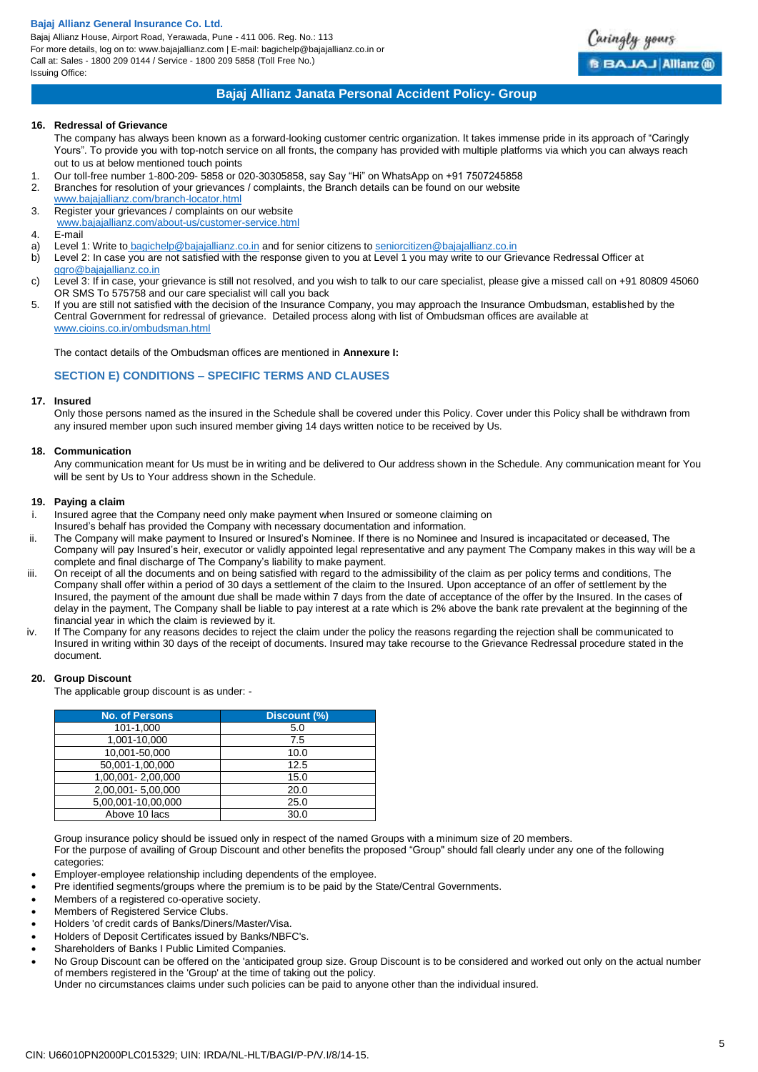Bajaj Allianz House, Airport Road, Yerawada, Pune - 411 006. Reg. No.: 113 For more details, log on to: www.bajajallianz.com | E-mail: bagichelp@bajajallianz.co.in or Call at: Sales - 1800 209 0144 / Service - 1800 209 5858 (Toll Free No.) Issuing Office:



# **Bajaj Allianz Janata Personal Accident Policy- Group**

# **16. Redressal of Grievance**

The company has always been known as a forward-looking customer centric organization. It takes immense pride in its approach of "Caringly Yours". To provide you with top-notch service on all fronts, the company has provided with multiple platforms via which you can always reach out to us at below mentioned touch points

- 1. Our toll-free number 1-800-209- 5858 or 020-30305858, say Say "Hi" on WhatsApp on +91 7507245858
- 2. Branches for resolution of your grievances / complaints, the Branch details can be found on our website
- [www.bajajallianz.com/branch-locator.html](http://www.bajajallianz.com/branch-locator.html) 3. Register your grievances / complaints on our website
- 
- [www.bajajallianz.com/about-us/customer-service.html](http://www.bajajallianz.com/about-us/customer-service.html)
- 4. E-mail
- a) Level 1: Write to [bagichelp@bajajallianz.co.in](mailto:bagichelp@bajajallianz.co.in) and for senior citizens to [seniorcitizen@bajajallianz.co.in](mailto:seniorcitizen@bajajallianz.co.in)
- b) Level 2: In case you are not satisfied with the response given to you at Level 1 you may write to our Grievance Redressal Officer at [ggro@bajajallianz.co.in](mailto:ggro@bajajallianz.co.in)
- c) Level 3: If in case, your grievance is still not resolved, and you wish to talk to our care specialist, please give a missed call on +91 80809 45060 OR SMS To 575758 and our care specialist will call you back
- 5. If you are still not satisfied with the decision of the Insurance Company, you may approach the Insurance Ombudsman, established by the Central Government for redressal of grievance. Detailed process along with list of Ombudsman offices are available at [www.cioins.co.in/ombudsman.html](http://www.cioins.co.in/ombudsman.html)

The contact details of the Ombudsman offices are mentioned in **Annexure I:**

# **SECTION E) CONDITIONS – SPECIFIC TERMS AND CLAUSES**

# **17. Insured**

Only those persons named as the insured in the Schedule shall be covered under this Policy. Cover under this Policy shall be withdrawn from any insured member upon such insured member giving 14 days written notice to be received by Us.

#### **18. Communication**

Any communication meant for Us must be in writing and be delivered to Our address shown in the Schedule. Any communication meant for You will be sent by Us to Your address shown in the Schedule.

#### **19. Paying a claim**

- Insured agree that the Company need only make payment when Insured or someone claiming on
- Insured's behalf has provided the Company with necessary documentation and information.
- ii. The Company will make payment to Insured or Insured's Nominee. If there is no Nominee and Insured is incapacitated or deceased, The Company will pay Insured's heir, executor or validly appointed legal representative and any payment The Company makes in this way will be a complete and final discharge of The Company's liability to make payment.
- iii. On receipt of all the documents and on being satisfied with regard to the admissibility of the claim as per policy terms and conditions, The Company shall offer within a period of 30 days a settlement of the claim to the Insured. Upon acceptance of an offer of settlement by the Insured, the payment of the amount due shall be made within 7 days from the date of acceptance of the offer by the Insured. In the cases of delay in the payment, The Company shall be liable to pay interest at a rate which is 2% above the bank rate prevalent at the beginning of the financial year in which the claim is reviewed by it.
- iv. If The Company for any reasons decides to reject the claim under the policy the reasons regarding the rejection shall be communicated to Insured in writing within 30 days of the receipt of documents. Insured may take recourse to the Grievance Redressal procedure stated in the document.

# **20. Group Discount**

The applicable group discount is as under: -

| <b>No. of Persons</b> | Discount (%) |
|-----------------------|--------------|
| 101-1,000             | 5.0          |
| 1,001-10,000          | 7.5          |
| 10,001-50,000         | 10.0         |
| 50,001-1,00,000       | 12.5         |
| 1,00,001 - 2,00,000   | 15.0         |
| 2,00,001 - 5,00,000   | 20.0         |
| 5,00,001-10,00,000    | 25.0         |
| Above 10 lacs         | 30.0         |

Group insurance policy should be issued only in respect of the named Groups with a minimum size of 20 members.

For the purpose of availing of Group Discount and other benefits the proposed "Group" should fall clearly under any one of the following categories:

- Employer-employee relationship including dependents of the employee.
- Pre identified segments/groups where the premium is to be paid by the State/Central Governments.
- Members of a registered co-operative society.
- Members of Registered Service Clubs.
- Holders 'of credit cards of Banks/Diners/Master/Visa.
- Holders of Deposit Certificates issued by Banks/NBFC's.
- Shareholders of Banks I Public Limited Companies.
- No Group Discount can be offered on the 'anticipated group size. Group Discount is to be considered and worked out only on the actual number of members registered in the 'Group' at the time of taking out the policy.

Under no circumstances claims under such policies can be paid to anyone other than the individual insured.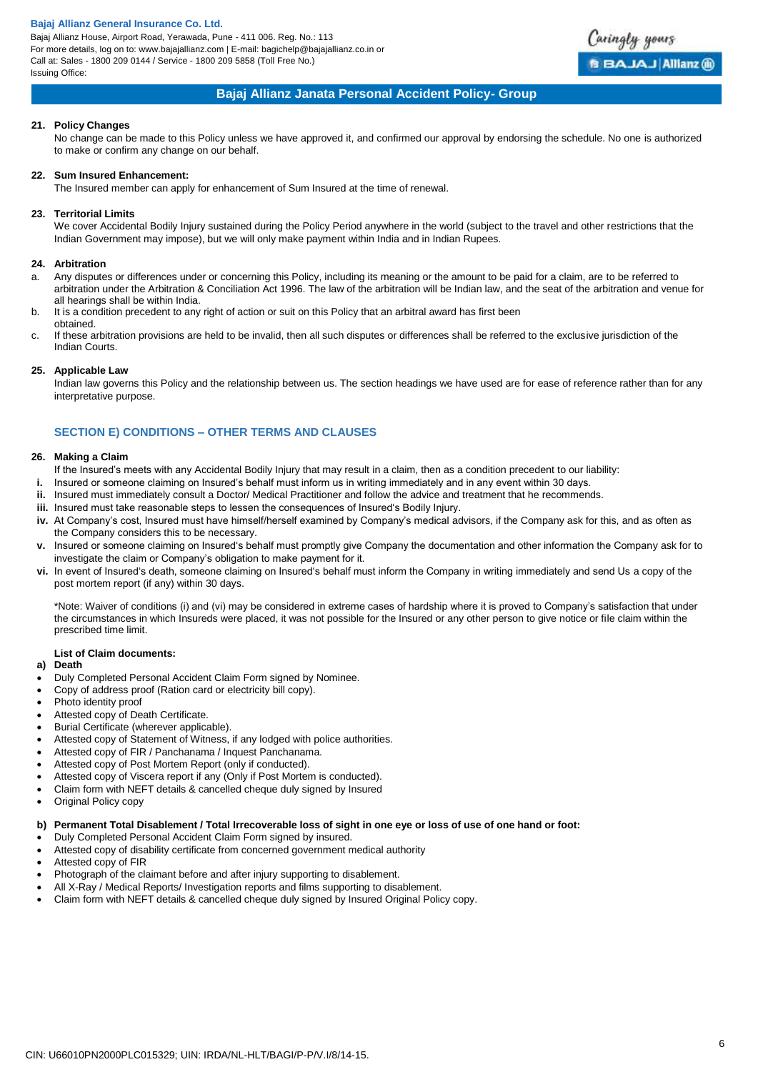Bajaj Allianz House, Airport Road, Yerawada, Pune - 411 006. Reg. No.: 113 For more details, log on to: www.bajajallianz.com | E-mail: bagichelp@bajajallianz.co.in or Call at: Sales - 1800 209 0144 / Service - 1800 209 5858 (Toll Free No.) Issuing Office:



# **Bajaj Allianz Janata Personal Accident Policy- Group**

# **21. Policy Changes**

No change can be made to this Policy unless we have approved it, and confirmed our approval by endorsing the schedule. No one is authorized to make or confirm any change on our behalf.

#### **22. Sum Insured Enhancement:**

The Insured member can apply for enhancement of Sum Insured at the time of renewal.

# **23. Territorial Limits**

We cover Accidental Bodily Injury sustained during the Policy Period anywhere in the world (subject to the travel and other restrictions that the Indian Government may impose), but we will only make payment within India and in Indian Rupees.

# **24. Arbitration**

- a. Any disputes or differences under or concerning this Policy, including its meaning or the amount to be paid for a claim, are to be referred to arbitration under the Arbitration & Conciliation Act 1996. The law of the arbitration will be Indian law, and the seat of the arbitration and venue for all hearings shall be within India.
- b. It is a condition precedent to any right of action or suit on this Policy that an arbitral award has first been obtained.
- c. If these arbitration provisions are held to be invalid, then all such disputes or differences shall be referred to the exclusive jurisdiction of the Indian Courts.

# **25. Applicable Law**

Indian law governs this Policy and the relationship between us. The section headings we have used are for ease of reference rather than for any interpretative purpose.

# **SECTION E) CONDITIONS – OTHER TERMS AND CLAUSES**

# **26. Making a Claim**

- If the Insured's meets with any Accidental Bodily Injury that may result in a claim, then as a condition precedent to our liability:
- **i.** Insured or someone claiming on Insured's behalf must inform us in writing immediately and in any event within 30 days.
- **ii.** Insured must immediately consult a Doctor/ Medical Practitioner and follow the advice and treatment that he recommends.
- **iii.** Insured must take reasonable steps to lessen the consequences of Insured's Bodily Injury.
- **iv.** At Company's cost, Insured must have himself/herself examined by Company's medical advisors, if the Company ask for this, and as often as the Company considers this to be necessary.
- **v.** Insured or someone claiming on Insured's behalf must promptly give Company the documentation and other information the Company ask for to investigate the claim or Company's obligation to make payment for it.
- **vi.** In event of Insured's death, someone claiming on Insured's behalf must inform the Company in writing immediately and send Us a copy of the post mortem report (if any) within 30 days.

\*Note: Waiver of conditions (i) and (vi) may be considered in extreme cases of hardship where it is proved to Company's satisfaction that under the circumstances in which Insureds were placed, it was not possible for the Insured or any other person to give notice or file claim within the prescribed time limit.

# **List of Claim documents:**

# **a) Death**

- Duly Completed Personal Accident Claim Form signed by Nominee.
- Copy of address proof (Ration card or electricity bill copy).
- Photo identity proof
- Attested copy of Death Certificate.
- Burial Certificate (wherever applicable).
- Attested copy of Statement of Witness, if any lodged with police authorities.
- Attested copy of FIR / Panchanama / Inquest Panchanama.
- Attested copy of Post Mortem Report (only if conducted).
- Attested copy of Viscera report if any (Only if Post Mortem is conducted).
- Claim form with NEFT details & cancelled cheque duly signed by Insured
- Original Policy copy

# **b) Permanent Total Disablement / Total Irrecoverable loss of sight in one eye or loss of use of one hand or foot:**

- Duly Completed Personal Accident Claim Form signed by insured.
- Attested copy of disability certificate from concerned government medical authority
- Attested copy of FIR
- Photograph of the claimant before and after injury supporting to disablement.
- All X-Ray / Medical Reports/ Investigation reports and films supporting to disablement.
- Claim form with NEFT details & cancelled cheque duly signed by Insured Original Policy copy.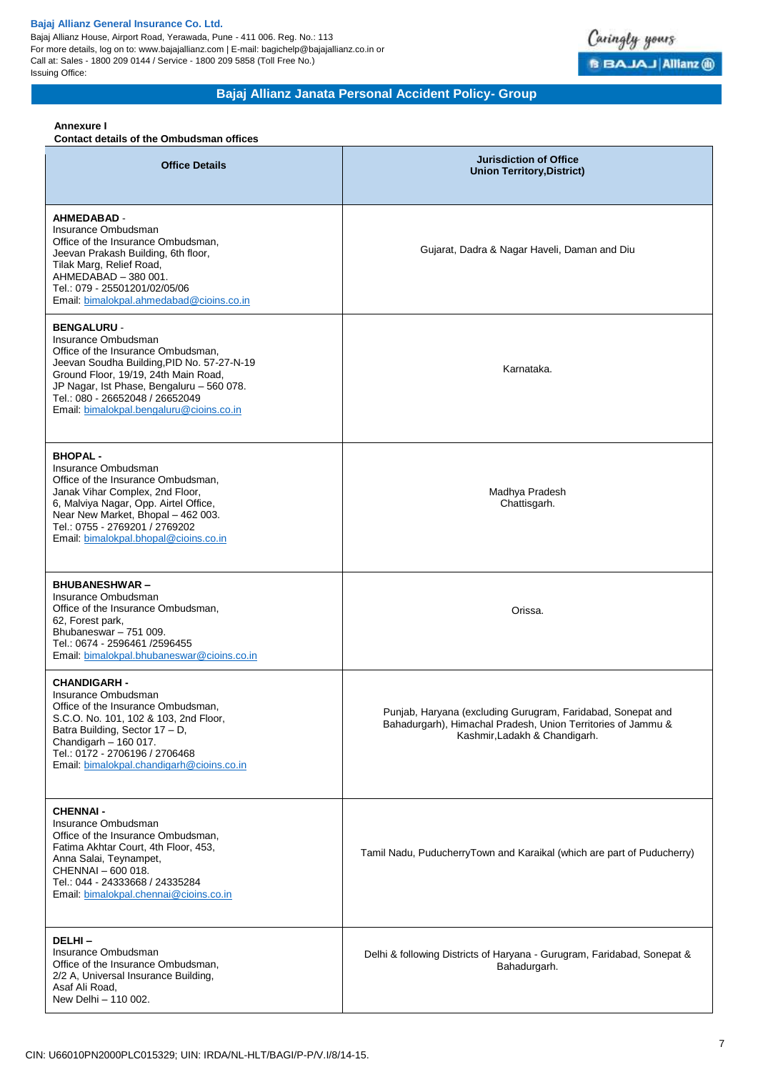Bajaj Allianz House, Airport Road, Yerawada, Pune - 411 006. Reg. No.: 113 For more details, log on to: www.bajajallianz.com | E-mail: bagichelp@bajajallianz.co.in or Call at: Sales - 1800 209 0144 / Service - 1800 209 5858 (Toll Free No.) Issuing Office:



**Bajaj Allianz Janata Personal Accident Policy- Group**

### **Annexure I**

## **Contact details of the Ombudsman offices**

| <b>Office Details</b>                                                                                                                                                                                                                                                                             | <b>Jurisdiction of Office</b><br><b>Union Territory, District)</b>                                                                                           |
|---------------------------------------------------------------------------------------------------------------------------------------------------------------------------------------------------------------------------------------------------------------------------------------------------|--------------------------------------------------------------------------------------------------------------------------------------------------------------|
| <b>AHMEDABAD -</b><br>Insurance Ombudsman<br>Office of the Insurance Ombudsman,<br>Jeevan Prakash Building, 6th floor,<br>Tilak Marg, Relief Road,<br>AHMEDABAD - 380 001.<br>Tel.: 079 - 25501201/02/05/06<br>Email: bimalokpal.ahmedabad@cioins.co.in                                           | Gujarat, Dadra & Nagar Haveli, Daman and Diu                                                                                                                 |
| <b>BENGALURU -</b><br>Insurance Ombudsman<br>Office of the Insurance Ombudsman,<br>Jeevan Soudha Building, PID No. 57-27-N-19<br>Ground Floor, 19/19, 24th Main Road,<br>JP Nagar, Ist Phase, Bengaluru - 560 078.<br>Tel.: 080 - 26652048 / 26652049<br>Email: bimalokpal.bengaluru@cioins.co.in | Karnataka.                                                                                                                                                   |
| <b>BHOPAL -</b><br>Insurance Ombudsman<br>Office of the Insurance Ombudsman,<br>Janak Vihar Complex, 2nd Floor,<br>6, Malviya Nagar, Opp. Airtel Office,<br>Near New Market, Bhopal - 462 003.<br>Tel.: 0755 - 2769201 / 2769202<br>Email: bimalokpal.bhopal@cioins.co.in                         | Madhya Pradesh<br>Chattisgarh.                                                                                                                               |
| <b>BHUBANESHWAR-</b><br>Insurance Ombudsman<br>Office of the Insurance Ombudsman,<br>62, Forest park,<br>Bhubaneswar - 751 009.<br>Tel.: 0674 - 2596461 /2596455<br>Email: bimalokpal.bhubaneswar@cioins.co.in                                                                                    | Orissa.                                                                                                                                                      |
| <b>CHANDIGARH -</b><br>Insurance Ombudsman<br>Office of the Insurance Ombudsman,<br>S.C.O. No. 101, 102 & 103, 2nd Floor,<br>Batra Building, Sector 17 - D,<br>Chandigarh - 160 017.<br>Tel.: 0172 - 2706196 / 2706468<br>Email: bimalokpal.chandigarh@cioins.co.in                               | Punjab, Haryana (excluding Gurugram, Faridabad, Sonepat and<br>Bahadurgarh), Himachal Pradesh, Union Territories of Jammu &<br>Kashmir, Ladakh & Chandigarh. |
| <b>CHENNAI -</b><br>Insurance Ombudsman<br>Office of the Insurance Ombudsman,<br>Fatima Akhtar Court, 4th Floor, 453,<br>Anna Salai, Teynampet,<br>CHENNAI - 600 018.<br>Tel.: 044 - 24333668 / 24335284<br>Email: bimalokpal.chennai@cioins.co.in                                                | Tamil Nadu, PuducherryTown and Karaikal (which are part of Puducherry)                                                                                       |
| DELHI-<br>Insurance Ombudsman<br>Office of the Insurance Ombudsman,<br>2/2 A, Universal Insurance Building,<br>Asaf Ali Road,<br>New Delhi - 110 002.                                                                                                                                             | Delhi & following Districts of Haryana - Gurugram, Faridabad, Sonepat &<br>Bahadurgarh.                                                                      |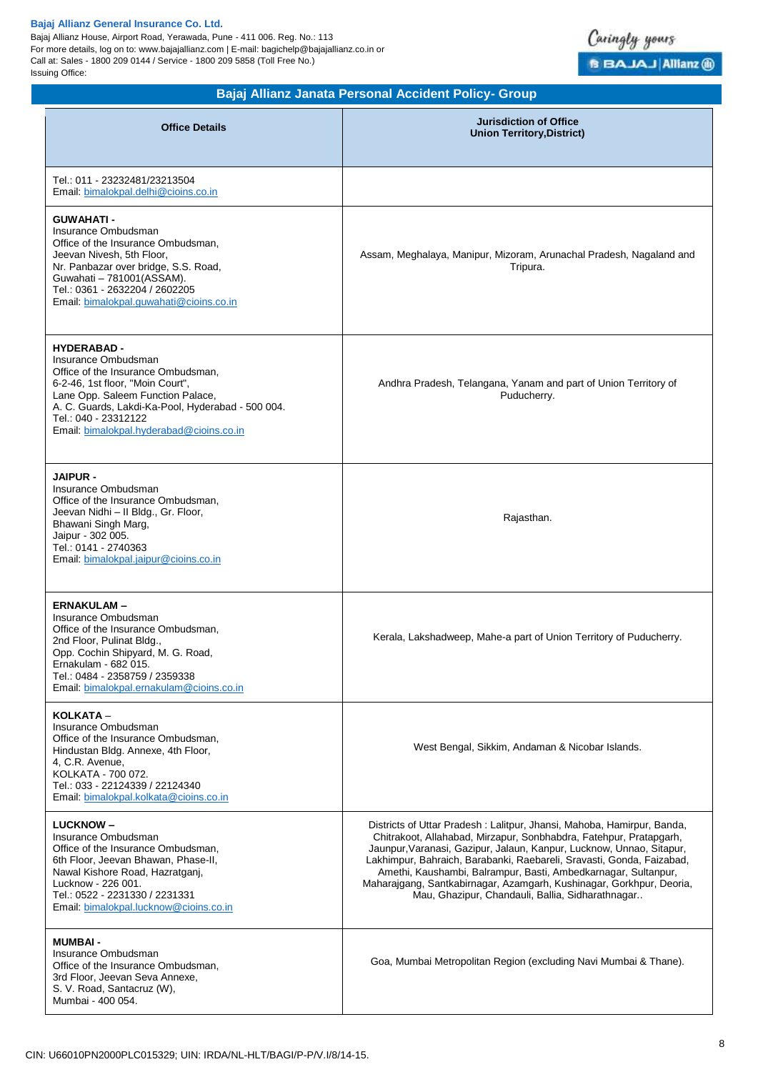Bajaj Allianz House, Airport Road, Yerawada, Pune - 411 006. Reg. No.: 113 For more details, log on to: www.bajajallianz.com | E-mail: bagichelp@bajajallianz.co.in or Call at: Sales - 1800 209 0144 / Service - 1800 209 5858 (Toll Free No.) Issuing Office:



**Bajaj Allianz Janata Personal Accident Policy- Group**

| <b>Office Details</b>                                                                                                                                                                                                                                                             | <b>Jurisdiction of Office</b><br><b>Union Territory, District)</b>                                                                                                                                                                                                                                                                                                                                                                                                                          |
|-----------------------------------------------------------------------------------------------------------------------------------------------------------------------------------------------------------------------------------------------------------------------------------|---------------------------------------------------------------------------------------------------------------------------------------------------------------------------------------------------------------------------------------------------------------------------------------------------------------------------------------------------------------------------------------------------------------------------------------------------------------------------------------------|
| Tel.: 011 - 23232481/23213504<br>Email. bimalokpal.delhi@cioins.co.in                                                                                                                                                                                                             |                                                                                                                                                                                                                                                                                                                                                                                                                                                                                             |
| <b>GUWAHATI -</b><br>Insurance Ombudsman<br>Office of the Insurance Ombudsman,<br>Jeevan Nivesh, 5th Floor,<br>Nr. Panbazar over bridge, S.S. Road,<br>Guwahati - 781001(ASSAM).<br>Tel.: 0361 - 2632204 / 2602205<br>Email: bimalokpal.guwahati@cioins.co.in                     | Assam, Meghalaya, Manipur, Mizoram, Arunachal Pradesh, Nagaland and<br>Tripura.                                                                                                                                                                                                                                                                                                                                                                                                             |
| <b>HYDERABAD -</b><br>Insurance Ombudsman<br>Office of the Insurance Ombudsman,<br>6-2-46, 1st floor, "Moin Court",<br>Lane Opp. Saleem Function Palace,<br>A. C. Guards, Lakdi-Ka-Pool, Hyderabad - 500 004.<br>Tel.: 040 - 23312122<br>Email: bimalokpal.hyderabad@cioins.co.in | Andhra Pradesh, Telangana, Yanam and part of Union Territory of<br>Puducherry.                                                                                                                                                                                                                                                                                                                                                                                                              |
| <b>JAIPUR -</b><br>Insurance Ombudsman<br>Office of the Insurance Ombudsman,<br>Jeevan Nidhi - Il Bldg., Gr. Floor,<br>Bhawani Singh Marg,<br>Jaipur - 302 005.<br>Tel.: 0141 - 2740363<br>Email: bimalokpal.jaipur@cioins.co.in                                                  | Rajasthan.                                                                                                                                                                                                                                                                                                                                                                                                                                                                                  |
| <b>ERNAKULAM-</b><br>Insurance Ombudsman<br>Office of the Insurance Ombudsman,<br>2nd Floor, Pulinat Bldg.,<br>Opp. Cochin Shipyard, M. G. Road,<br>Ernakulam - 682 015.<br>Tel.: 0484 - 2358759 / 2359338<br>Email: bimalokpal.ernakulam@cioins.co.in                            | Kerala, Lakshadweep, Mahe-a part of Union Territory of Puducherry.                                                                                                                                                                                                                                                                                                                                                                                                                          |
| KOLKATA -<br>Insurance Ombudsman<br>Office of the Insurance Ombudsman,<br>Hindustan Bldg. Annexe, 4th Floor,<br>4, C.R. Avenue,<br>KOLKATA - 700 072.<br>Tel.: 033 - 22124339 / 22124340<br>Email: bimalokpal.kolkata@cioins.co.in                                                | West Bengal, Sikkim, Andaman & Nicobar Islands.                                                                                                                                                                                                                                                                                                                                                                                                                                             |
| <b>LUCKNOW-</b><br>Insurance Ombudsman<br>Office of the Insurance Ombudsman,<br>6th Floor, Jeevan Bhawan, Phase-II,<br>Nawal Kishore Road, Hazratganj,<br>Lucknow - 226 001.<br>Tel.: 0522 - 2231330 / 2231331<br>Email: bimalokpal.lucknow@cioins.co.in                          | Districts of Uttar Pradesh: Lalitpur, Jhansi, Mahoba, Hamirpur, Banda,<br>Chitrakoot, Allahabad, Mirzapur, Sonbhabdra, Fatehpur, Pratapgarh,<br>Jaunpur, Varanasi, Gazipur, Jalaun, Kanpur, Lucknow, Unnao, Sitapur,<br>Lakhimpur, Bahraich, Barabanki, Raebareli, Sravasti, Gonda, Faizabad,<br>Amethi, Kaushambi, Balrampur, Basti, Ambedkarnagar, Sultanpur,<br>Maharajgang, Santkabirnagar, Azamgarh, Kushinagar, Gorkhpur, Deoria,<br>Mau, Ghazipur, Chandauli, Ballia, Sidharathnagar |
| <b>MUMBAI-</b><br>Insurance Ombudsman<br>Office of the Insurance Ombudsman,<br>3rd Floor, Jeevan Seva Annexe,<br>S. V. Road, Santacruz (W),<br>Mumbai - 400 054.                                                                                                                  | Goa, Mumbai Metropolitan Region (excluding Navi Mumbai & Thane).                                                                                                                                                                                                                                                                                                                                                                                                                            |